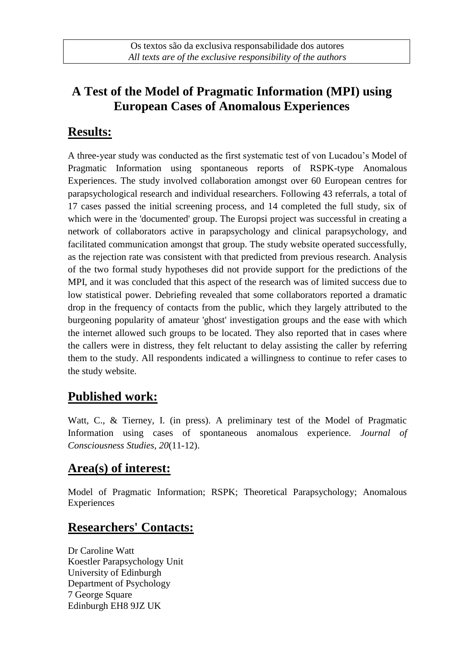# **A Test of the Model of Pragmatic Information (MPI) using European Cases of Anomalous Experiences**

### **Results:**

A three-year study was conducted as the first systematic test of von Lucadou's Model of Pragmatic Information using spontaneous reports of RSPK-type Anomalous Experiences. The study involved collaboration amongst over 60 European centres for parapsychological research and individual researchers. Following 43 referrals, a total of 17 cases passed the initial screening process, and 14 completed the full study, six of which were in the 'documented' group. The Europsi project was successful in creating a network of collaborators active in parapsychology and clinical parapsychology, and facilitated communication amongst that group. The study website operated successfully, as the rejection rate was consistent with that predicted from previous research. Analysis of the two formal study hypotheses did not provide support for the predictions of the MPI, and it was concluded that this aspect of the research was of limited success due to low statistical power. Debriefing revealed that some collaborators reported a dramatic drop in the frequency of contacts from the public, which they largely attributed to the burgeoning popularity of amateur 'ghost' investigation groups and the ease with which the internet allowed such groups to be located. They also reported that in cases where the callers were in distress, they felt reluctant to delay assisting the caller by referring them to the study. All respondents indicated a willingness to continue to refer cases to the study website.

# **Published work:**

Watt, C., & Tierney, I. (in press). A preliminary test of the Model of Pragmatic Information using cases of spontaneous anomalous experience. *Journal of Consciousness Studies, 20*(11-12).

### **Area(s) of interest:**

Model of Pragmatic Information; RSPK; Theoretical Parapsychology; Anomalous Experiences

### **Researchers' Contacts:**

Dr Caroline Watt Koestler Parapsychology Unit University of Edinburgh Department of Psychology 7 George Square Edinburgh EH8 9JZ UK